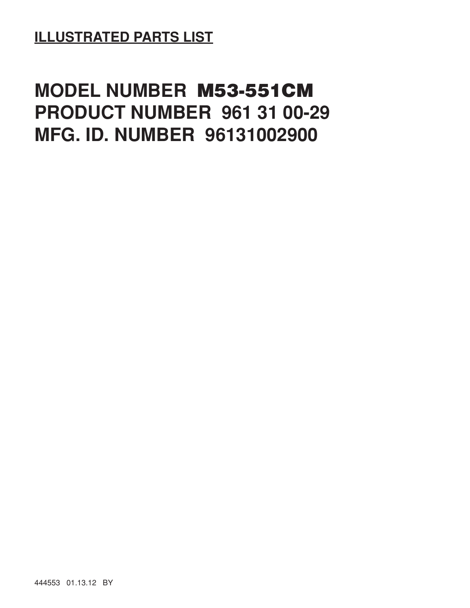## **ILLUSTRATED PARTS LIST**

## **MODEL NUMBER M53-551CM PRODUCT NUMBER 961 31 00-29 MFG. ID. NUMBER 96131002900**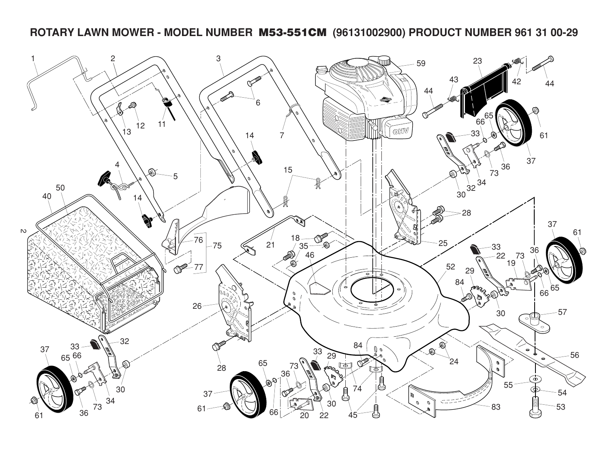## **ROTARY LAWN MOWER - MODEL NUMBER M53-551CM (96131002900) PRODUCT NUMBER 961 31 00-29**